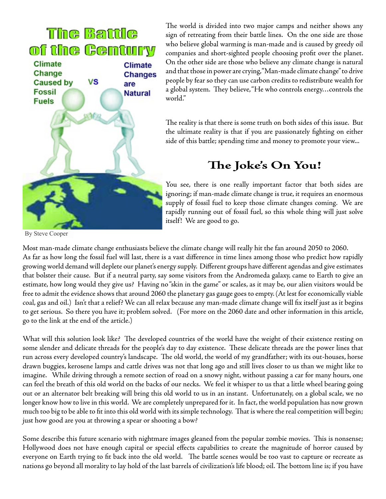

The world is divided into two major camps and neither shows any sign of retreating from their battle lines. On the one side are those who believe global warming is man-made and is caused by greedy oil companies and short-sighted people choosing profit over the planet. On the other side are those who believe any climate change is natural and that those in power are crying, "Man-made climate change" to drive people by fear so they can use carbon credits to redistribute wealth for a global system. They believe, "He who controls energy…controls the world."

The reality is that there is some truth on both sides of this issue. But the ultimate reality is that if you are passionately fighting on either side of this battle; spending time and money to promote your view...

## **The Joke's On You!**

You see, there is one really important factor that both sides are ignoring; if man-made climate change is true, it requires an enormous supply of fossil fuel to keep those climate changes coming. We are rapidly running out of fossil fuel, so this whole thing will just solve itself! We are good to go.

By Steve Cooper

Most man-made climate change enthusiasts believe the climate change will really hit the fan around 2050 to 2060. As far as how long the fossil fuel will last, there is a vast difference in time lines among those who predict how rapidly growing world demand will deplete our planet's energy supply. Different groups have different agendas and give estimates that bolster their cause. But if a neutral party, say some visitors from the Andromeda galaxy, came to Earth to give an estimate, how long would they give us? Having no "skin in the game" or scales, as it may be, our alien visitors would be free to admit the evidence shows that around 2060 the planetary gas gauge goes to empty. (At lest for economically viable coal, gas and oil.) Isn't that a relief? We can all relax because any man-made climate change will fix itself just as it begins to get serious. So there you have it; problem solved. (For more on the 2060 date and other information in this article, go to the link at the end of the article.)

What will this solution look like? The developed countries of the world have the weight of their existence resting on some slender and delicate threads for the people's day to day existence. These delicate threads are the power lines that run across every developed country's landscape. The old world, the world of my grandfather; with its out-houses, horse drawn buggies, kerosene lamps and cattle drives was not that long ago and still lives closer to us than we might like to imagine. While driving through a remote section of road on a snowy night, without passing a car for many hours, one can feel the breath of this old world on the backs of our necks. We feel it whisper to us that a little wheel bearing going out or an alternator belt breaking will bring this old world to us in an instant. Unfortunately, on a global scale, we no longer know how to live in this world. We are completely unprepared for it. In fact, the world population has now grown much too big to be able to fit into this old world with its simple technology. That is where the real competition will begin; just how good are you at throwing a spear or shooting a bow?

Some describe this future scenario with nightmare images gleaned from the popular zombie movies. This is nonsense; Hollywood does not have enough capital or special effects capabilities to create the magnitude of horror caused by everyone on Earth trying to fit back into the old world. The battle scenes would be too vast to capture or recreate as nations go beyond all morality to lay hold of the last barrels of civilization's life blood; oil. The bottom line is; if you have